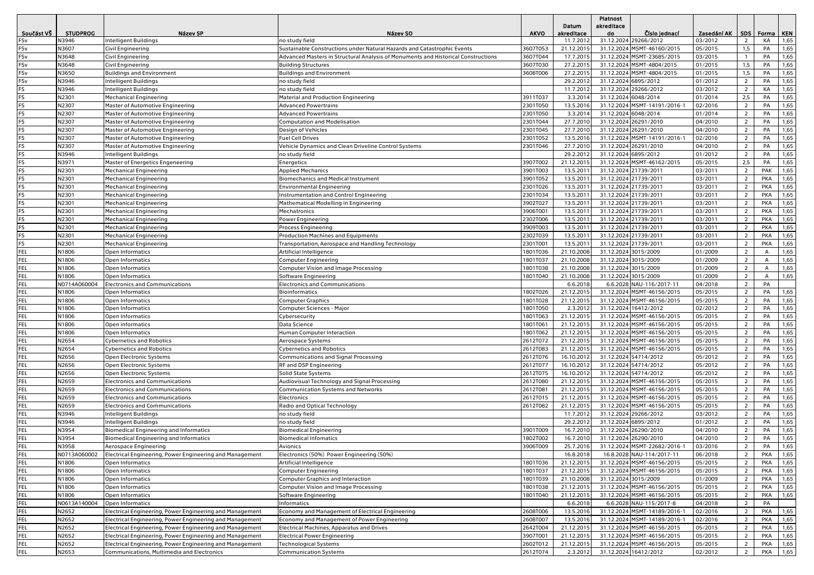|            |                 |                                                          |                                                                                   |             |            | <b>Platnost</b>      |                              |             |                |                |      |
|------------|-----------------|----------------------------------------------------------|-----------------------------------------------------------------------------------|-------------|------------|----------------------|------------------------------|-------------|----------------|----------------|------|
|            |                 |                                                          |                                                                                   |             | Datum      | akreditace           |                              |             |                |                |      |
| Součást VŠ | <b>STUDPROG</b> | Název SP                                                 | Název SO                                                                          | <b>AKVO</b> | akreditace | do                   | Číslo jednací                | Zasedání AK | <b>SDS</b>     | Forma   KEN    |      |
| FSv        | N3946           | Intelligent Buildings                                    | no study field                                                                    |             | 11.7.201   | 31.12.2024           | 29266/2012                   | 03/2012     | $\overline{2}$ | КA             | 1,65 |
| FSv        | N3607           | <b>Civil Engineering</b>                                 | Sustainable Constructions under Natural Hazards and Catastrophic Events           | 3607T053    | 21.12.2015 | 31.12.2024           | MSMT-46160/2015              | 05/2015     | 1,5            | PA             | 1,65 |
| FSv        | N3648           | Civil Engineering                                        | Advanced Masters in Structural Analysis of Monuments and Historical Constructions | 3607T044    | 17.7.201   |                      | 31.12.2024 MSMT-23685/2015   | 03/2015     | $\mathbf{1}$   | PA             | 1,65 |
| FSv        | N3648           | Civil Engineering                                        | <b>Building Structures</b>                                                        | 3607T030    | 27.2.2015  |                      | 31.12.2024 MSMT-4804/2015    | 01/2015     | 1,5            | PA             | 1,65 |
| FSv        | N3650           | <b>Buildings and Environment</b>                         | <b>Buildings and Environment</b>                                                  | 3608T006    | 27.2.2015  |                      | 31.12.2024 MSMT-4804/2015    | 01/2015     | 1,5            | PA             | 1,65 |
| FSv        | N3946           | Intelligent Buildings                                    | o study field                                                                     |             | 29.2.2012  |                      | 31.12.2024 6895/2012         | 01/2012     | $\overline{2}$ | PA             | 1,65 |
| FS         | N3946           | Intelligent Buildings                                    | no study field                                                                    |             | 11.7.2012  | 31.12.2024           | 29266/2012                   | 03/2012     | $\overline{2}$ | КA             | 1,65 |
| FS         | N2301           | <b>Mechanical Engineering</b>                            | Material and Production Engineering                                               | 3911T037    | 3.3.201    |                      | 31.12.2024 6048/2014         | 01/2014     | 2,5            | PA             | 1,65 |
| FS         | N2307           | Master of Automotive Engineering                         | <b>Advanced Powertrains</b>                                                       | 2301T050    | 13.5.2016  |                      | 31.12.2024 MSMT-14191/2016-1 | 02/2016     | $\overline{2}$ | PA             | 1,65 |
| FS         | N2307           | Master of Automotive Engineering                         | <b>Advanced Powertrains</b>                                                       | 2301T050    | 3.3.2014   |                      | 31.12.2024 6048/2014         | 01/2014     | $\overline{2}$ | PA             | 1,65 |
| FS         | N2307           | Master of Automotive Engineering                         | <b>Computation and Modelisation</b>                                               | 2301T044    | 27.7.201   | 31.12.2024           | 26291/2010                   | 04/2010     | $\overline{2}$ | PA             | 1,65 |
| FS         | N2307           | Master of Automotive Engineering                         | Design of Vehicles                                                                | 2301T045    | 27.7.2010  | 31.12.2024           | 26291/2010                   | 04/2010     | $\overline{2}$ | PA             | 1,65 |
| FS         | N2307           | Master of Automotive Engineering                         | <b>Fuel Cell Drives</b>                                                           | 2301T052    | 13.5.2016  |                      | 31.12.2024 MSMT-14191/2016-1 | 02/2016     | $\overline{2}$ | PA             | 1,65 |
| FS         | N2307           | Master of Automotive Engineering                         | Vehicle Dynamics and Clean Driveline Control Systems                              | 2301T046    | 27.7.2010  |                      | 31.12.2024 26291/2010        | 04/2010     | $\overline{2}$ | PA             | 1,65 |
| FS         | N3946           | Intelligent Buildings                                    | no study field                                                                    |             | 29.2.2012  |                      | 31.12.2024 6895/2012         | 01/2012     | $\overline{2}$ | PA             | 1,65 |
| FS         | N3971           | Master of Energetics Engeneering                         | Energetics                                                                        | 3907T002    | 21.12.2015 |                      | 31.12.2024 MSMT-46162/2015   | 05/2015     | 2,5            | PA             | 1,65 |
| FS         | N2301           | <b>Mechanical Engineering</b>                            | <b>Applied Mechanics</b>                                                          | 3901T003    | 13.5.2011  | 31.12.2024           | 21739/2011                   | 03/2011     | $\overline{2}$ | PAK            | 1,65 |
| FS         | N2301           | <b>Mechanical Engineering</b>                            | <b>Biomechanics and Medical Instrument</b>                                        | 3901T052    | 13.5.2011  |                      | 31.12.2024 21739/2011        | 03/2011     | $\overline{2}$ | <b>PKA</b>     | 1,65 |
| FS         | N2301           | <b>Mechanical Engineering</b>                            | <b>Environmental Engineering</b>                                                  | 2301T026    | 13.5.2011  |                      | 31.12.2024 21739/2011        | 03/2011     | $\overline{2}$ | <b>PKA</b>     | 1,65 |
| FS         | N2301           | <b>Mechanical Engineering</b>                            | nstrumentation and Control Engineering                                            | 2301T034    | 13.5.2011  |                      | 31.12.2024 21739/2011        | 03/2011     | $\overline{2}$ | <b>PKA</b>     | 1,65 |
| FS         | N2301           | <b>Mechanical Engineering</b>                            | Mathematical Modelling in Engineering                                             | 3902T027    | 13.5.2011  |                      | 31.12.2024 21739/2011        | 03/2011     | $\overline{2}$ | PKA            | 1,65 |
| FS         | N2301           | <b>Mechanical Engineering</b>                            | Mechatronics                                                                      | 3906T001    | 13.5.2011  |                      | 31.12.2024 21739/2011        | 03/2011     | $\overline{2}$ | PKA            | 1,65 |
| FS         | N2301           | <b>Mechanical Engineering</b>                            | Power Engineering                                                                 | 2302T006    | 13.5.201   |                      | 31.12.2024 21739/2011        | 03/2011     | $\overline{2}$ | <b>PKA</b>     | 1,65 |
| FS         | N2301           | <b>Mechanical Engineering</b>                            | Process Engineering                                                               | 3909T003    | 13.5.2011  |                      | 31.12.2024 21739/2011        | 03/2011     | $\overline{2}$ | PKA            | 1,65 |
| FS         | N2301           | <b>Mechanical Engineering</b>                            | <b>Production Machines and Equipments</b>                                         | 2302T039    | 13.5.2011  |                      | 31.12.2024 21739/2011        | 03/2011     | $\overline{2}$ | PKA            | 1,65 |
| FS         | N2301           | <b>Mechanical Engineering</b>                            | Transportation, Aerospace and Handling Technology                                 | 2301T001    | 13.5.2011  |                      | 31.12.2024 21739/2011        | 03/2011     | $\overline{2}$ | <b>PKA</b>     | 1,65 |
| FEL        | N1806           | Open Informatics                                         | Artificial Intelligence                                                           | 1801T036    | 21.10.2008 | 31.12.2024           | 3015/2009                    | 01/2009     | $\overline{2}$ | $\overline{A}$ | 1,65 |
| FEL        | N1806           | <b>Open Informatics</b>                                  | Computer Engineering                                                              | 1801T037    | 21.10.2008 | 31.12.2024           | 3015/2009                    | 01/2009     | $\overline{2}$ | $\mathsf{A}$   | 1,65 |
| FEL        | N1806           | Open Informatics                                         | <b>Computer Vision and Image Processing</b>                                       | 1801T038    | 21.10.2008 |                      | 31.12.2024 3015/2009         | 01/2009     | $\overline{2}$ | A              | 1,65 |
| FEL        | N1806           | Open Informatics                                         | Software Engineering                                                              | 1801T040    | 21.10.2008 |                      | 31.12.2024 3015/2009         | 01/2009     | $\overline{2}$ | А              | 1,65 |
| FEL        | N0714A060004    | <b>Electronics and Communications</b>                    | <b>Electronics and Communications</b>                                             |             | 6.6.2018   |                      | 6.6.2028 NAU-116/2017-11     | 04/2018     | $\overline{2}$ | PA             |      |
| FEL        | N1806           | Open Informatics                                         | <b>Bioinformatics</b>                                                             | 1802T026    | 21.12.2015 |                      | 31.12.2024 MSMT-46156/2015   | 05/2015     | $\overline{2}$ | PA             | 1,65 |
| FEL        | N1806           | Open Informatics                                         | <b>Computer Graphics</b>                                                          | 1801T028    | 21.12.201  |                      | 31.12.2024 MSMT-46156/2015   | 05/2015     | $\overline{2}$ | PA             | 1,65 |
| FEL        | N1806           | Open Informatics                                         | Computer Sciences - Major                                                         | 1801T050    | 2.3.2012   |                      | 31.12.2024 16412/2012        | 02/2012     | $\overline{2}$ | PA             | 1,65 |
| FEL        | N1806           | Open Informatics                                         | Cybersecurity                                                                     | 1801T063    | 21.12.2015 |                      | 31.12.2024 MSMT-46156/2015   | 05/2015     | $\overline{2}$ | PA             | 1,65 |
| FEL        | N1806           | Open informatics                                         | Data Science                                                                      | 1801T061    | 21.12.2015 |                      | 31.12.2024 MSMT-46156/2015   | 05/2015     | $\overline{2}$ | PA             | 1,65 |
| FEL        | N1806           | Open Informatics                                         | Human Computer Interaction                                                        | 1801T062    | 21.12.2015 |                      | 31.12.2024 MSMT-46156/2015   | 05/2015     | $\overline{2}$ | PA             | 1,65 |
| FEL        | N2654           | <b>Cybernetics and Robotics</b>                          | Aerospace Systems                                                                 | 2612T072    | 21.12.201  |                      | 31.12.2024 MSMT-46156/2015   | 05/2015     | $\overline{2}$ | PA             | 1,65 |
| FEL        | N2654           | <b>Cybernetics and Robotics</b>                          | <b>Cybernetics and Robotics</b>                                                   | 2612T083    | 21.12.201  |                      | 31.12.2024 MSMT-46156/2015   | 05/2015     | $\overline{2}$ | PA             | 1,65 |
| FEL        | N2656           | Open Electronic Systems                                  | Communications and Signal Processing                                              | 2612T076    | 16.10.2012 |                      | 31.12.2024 54714/2012        | 05/2012     | $\overline{2}$ | PA             | 1,65 |
| FEL        | N2656           | Open Electronic Systems                                  | RF and DSP Engineering                                                            | 2612T077    | 16.10.2012 |                      | 31.12.2024 54714/2012        | 05/2012     | $\overline{2}$ | PA             | 1,65 |
| FEL        | N2656           | Open Electronic Systems                                  | <b>Solid State Systems</b>                                                        | 2612T075    | 16.10.2012 | 31.12.2024           | 54714/2012                   | 05/2012     | $\overline{2}$ | PA             | 1,65 |
| FEL        | N2659           | <b>Electronics and Communications</b>                    | Audiovisual Technology and Signal Processing                                      | 2612T080    | 21.12.201  |                      | 31.12.2024 MSMT-46156/2015   | 05/2015     | $\overline{2}$ | PA             | 1,65 |
| FEL        | N2659           | <b>Electronics and Communications</b>                    | <b>Communication Systems and Networks</b>                                         | 2612T081    | 21.12.201  |                      | 31.12.2024 MSMT-46156/2015   | 05/2015     | $\overline{2}$ | PA             | 1,65 |
| FEL        | N2659           | <b>Electronics and Communications</b>                    | Electronics                                                                       | 2612T015    | 21.12.2015 |                      | 31.12.2024 MSMT-46156/2015   | 05/2015     | $\overline{2}$ | PA             | 1,65 |
| FEL        | N2659           | <b>Electronics and Communications</b>                    | Radio and Optical Technology                                                      | 2612T082    | 21.12.201  |                      | 31.12.2024 MSMT-46156/2015   | 05/2015     | $\overline{2}$ | PA             | 1,65 |
| FEL        | N3946           | <b>Intelligent Buildings</b>                             | no study field                                                                    |             | 11.7.201   | 31.12.2024           | 29266/2012                   | 03/2012     | $\overline{2}$ | PA             | 1,65 |
| FEL        | N3946           | Intelligent Buildings                                    | no study field                                                                    |             | 29.2.201   |                      | 31.12.2024 6895/2012         | 01/2012     | $\overline{2}$ | PA             | 1,65 |
| FEL        | N3954           | <b>Biomedical Engineering and Informatics</b>            | Biomedical Engineering                                                            | 3901T009    | 16.7.201   |                      | 31.12.2024 26290/2010        | 04/2010     | 2              | PA             | 1,65 |
| FEL        | N3954           | <b>Biomedical Engineering and Informatics</b>            | <b>Biomedical Infomatics</b>                                                      | 1802T002    | 16.7.2010  |                      | 31.12.2024 26290/2010        | 04/2010     | $\overline{2}$ | PA             | 1,65 |
| FEL        | N3958           | Aerospace Engineering                                    | Avionics                                                                          | 3906T009    | 25.7.2016  |                      | 31.12.2024 MSMT-22682/2016-1 | 03/2016     |                | PA             | 1,65 |
| FEL        | N0713A060002    | Electrical Engineering, Power Engineering and Management | Electronics (50%) Power Engineering (50%)                                         |             | 16.8.2018  |                      | 16.8.2028 NAU-114/2017-11    | 06/2018     | $\overline{2}$ | PKA            | 1,65 |
| FEL        | N1806           | Open Informatics                                         | Artificial Intelligence                                                           | 1801T036    | 21.12.2015 |                      | 31.12.2024 MSMT-46156/2015   | 05/2015     | $\overline{2}$ | PKA            | 1,65 |
| FEL        | N1806           | Open Informatics                                         | Computer Engineering                                                              | 1801T037    | 21.12.2015 |                      | 31.12.2024 MSMT-46156/2015   | 05/2015     | $\overline{2}$ | PKA            | 1,65 |
| FEL        | N1806           | Open Informatics                                         | Computer Graphics and Interaction                                                 | 1801T039    | 21.10.2008 | 31.12.2024 3015/2009 |                              | 01/2009     | $\overline{2}$ | PKA            | 1,65 |
| FEL        | N1806           | Open Informatics                                         | Computer Vision and Image Processing                                              | 1801T038    | 21.12.2015 |                      | 31.12.2024 MSMT-46156/2015   | 05/2015     | $\overline{2}$ | PKA            | 1,65 |
| <b>FEL</b> | N1806           | Open Informatics                                         | Software Engineering                                                              | 1801T040    | 21.12.2015 |                      | 31.12.2024 MSMT-46156/2015   | 05/2015     | $\overline{2}$ | PKA            | 1,65 |
| FEL        | N0613A140004    | Open Informatics                                         | Informatics                                                                       |             | 6.6.2018   |                      | 6.6.2028 NAU-115/2017-8      | 04/2018     | $\overline{2}$ | PA             |      |
| <b>FEL</b> | N2652           | Electrical Engineering, Power Engineering and Management | Economy and Management of Electrical Engineering                                  | 2608T006    | 13.5.2016  |                      | 31.12.2024 MSMT-14189/2016-1 | 02/2016     | $\overline{2}$ | PKA            | 1,65 |
| FEL        | N2652           | Electrical Engineering, Power Engineering and Management | Economy and Management of Power Engineering                                       | 2608T007    | 13.5.2016  |                      | 31.12.2024 MSMT-14189/2016-1 | 02/2016     | $\overline{2}$ | PKA            | 1,65 |
| FEL        | N2652           | Electrical Engineering, Power Engineering and Management | Electrical Machines, Apparatus and Drives                                         | 2642T004    | 21.12.2015 |                      | 31.12.2024 MSMT-46156/2015   | 05/2015     | $\overline{2}$ | <b>PKA</b>     | 1,65 |
| FEL        | N2652           | Electrical Engineering, Power Engineering and Management | <b>Electrical Power Engineering</b>                                               | 3907T001    | 21.12.2015 |                      | 31.12.2024 MSMT-46156/2015   | 05/2015     | $\overline{2}$ | PKA            | 1,65 |
| FEL        | N2652           | Electrical Engineering, Power Engineering and Management | <b>Technological Systems</b>                                                      | 2602T012    | 21.12.2015 |                      | 31.12.2024 MSMT-46156/2015   | 05/2015     | $\overline{2}$ | PKA            | 1,65 |
| FEL        | N2653           | Communications, Multimedia and Electronics               | <b>Communication Systems</b>                                                      | 2612T074    | 2.3.2012   |                      | 31.12.2024 16412/2012        | 02/2012     | 2              | PKA            | 1,65 |